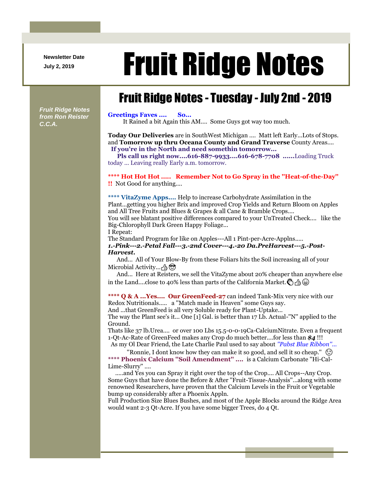**Newsletter Date**

# Newsletter Date **Fruit Ridge Notes**

## Fruit Ridge Notes - Tuesday - July 2nd - 2019

*Fruit Ridge Notes from Ron Reister C.C.A.*

#### **Greetings Faves .... So...**

It Rained a bit Again this AM.... Some Guys got way too much.

**Today Our Deliveries** are in SouthWest Michigan .... Matt left Early...Lots of Stops. and **Tomorrow up thru Oceana County and Grand Traverse** County Areas.... **If you're in the North and need somethin tomorrow...**

**Pls call us right now....616-887-9933....616-678-7708 ......**Loading Truck today ... Leaving really Early a.m. tomorrow.

#### **\*\*\*\* Hot Hot Hot ..... Remember Not to Go Spray in the ''Heat-of-the-Day'' !!** Not Good for anything....

**\*\*\*\* VitaZyme Apps....** Help to increase Carbohydrate Assimilation in the Plant...getting you higher Brix and improved Crop Yields and Return Bloom on Apples and All Tree Fruits and Blues & Grapes & all Cane & Bramble Crops.... You will see blatant positive differences compared to your UnTreated Check.... like the Big-Chlorophyll Dark Green Happy Foliage...

I Repeat:

The Standard Program for like on Apples---All 1 Pint-per-Acre-Applns..... *1.-Pink---2.-Petal Fall---3.-2nd Cover---4.-20 Da.PreHarvest---5.-Post-Harvest.*

And... All of Your Blow-By from these Foliars hits the Soil increasing all of your Microbial Activity... A

And... Here at Reisters, we sell the VitaZyme about 20% cheaper than anywhere else in the Land....close to 40% less than parts of the California Market.  $\mathcal{F}_{\text{A}}\oplus\mathcal{F}_{\text{B}}$ 

**\*\*\*\* Q & A ...Yes.... Our GreenFeed-27** can indeed Tank-Mix very nice with our Redox Nutritionals..... a ''Match made in Heaven'' some Guys say.

And ...that GreenFeed is all very Soluble ready for Plant-Uptake...

The way the Plant see's it... One [1] Gal. is better than 17 Lb. Actual-''N'' applied to the Ground.

Thats like 37 lb.Urea.... or over 100 Lbs 15.5-0-0-19Ca-CalciumNitrate. Even a frequent 1-Qt-Ac-Rate of GreenFeed makes any Crop do much better....for less than *\$4* !!!

As my Ol Dear Friend, the Late Charlie Paul used to say about *''Pabst Blue Ribbon''...* "Ronnie, I dont know how they can make it so good, and sell it so cheap."  $\circled{e}$ 

**\*\*\*\* Phoenix Calcium ''Soil Amendment'' ....** is a Calcium Carbonate ''Hi-Cal-Lime-Slurry'' ....

.....and Yes you can Spray it right over the top of the Crop.... All Crops--Any Crop. Some Guys that have done the Before & After ''Fruit-Tissue-Analysis''...along with some renowned Researchers, have proven that the Calcium Levels in the Fruit or Vegetable bump up considerably after a Phoenix Appln.

Full Production Size Blues Bushes, and most of the Apple Blocks around the Ridge Area would want 2-3 Qt-Acre. If you have some bigger Trees, do 4 Qt.